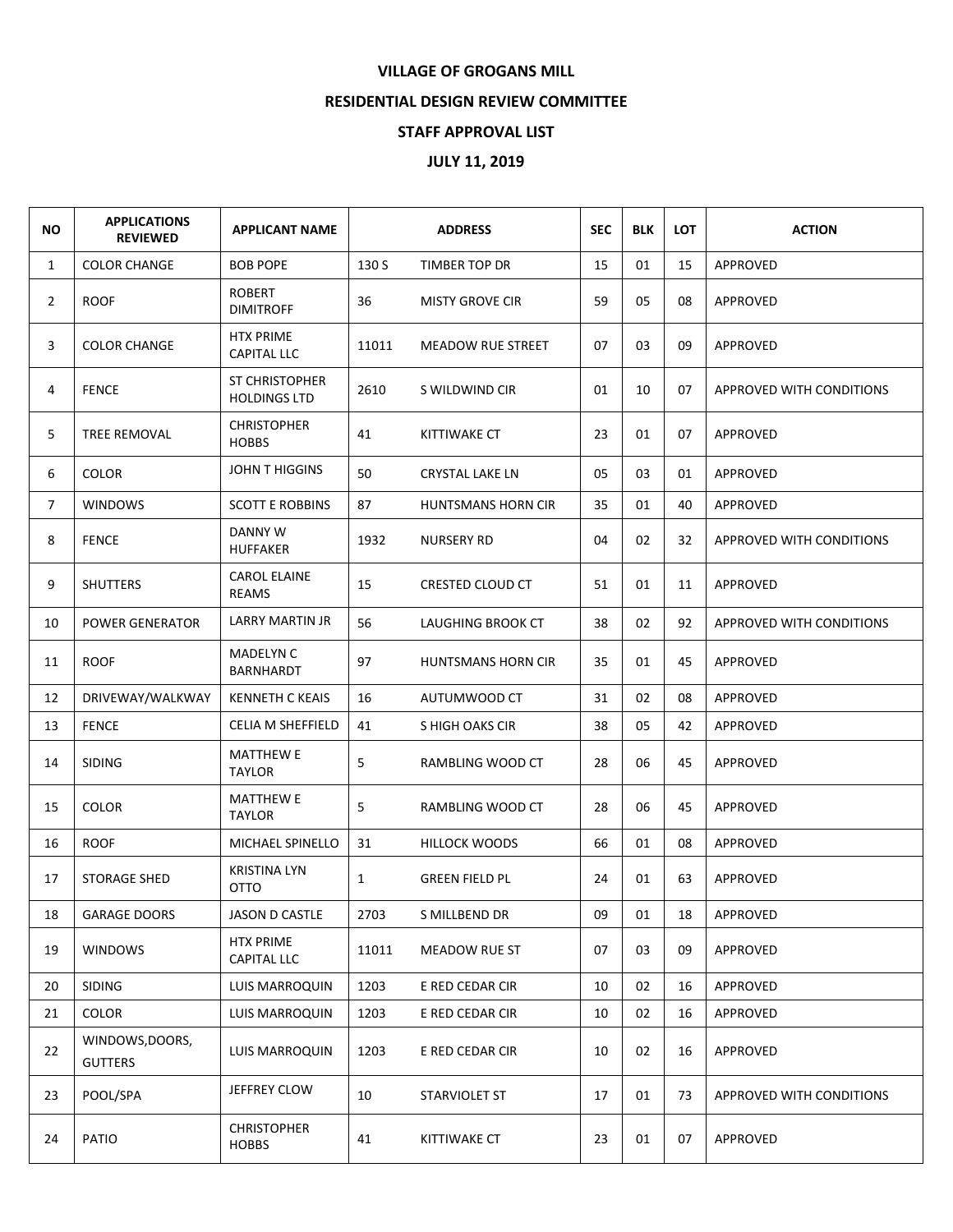## **VILLAGE OF GROGANS MILL**

## **RESIDENTIAL DESIGN REVIEW COMMITTEE**

## **STAFF APPROVAL LIST**

## **JULY 11, 2019**

| <b>NO</b>      | <b>APPLICATIONS</b><br><b>REVIEWED</b> | <b>APPLICANT NAME</b>                  | <b>ADDRESS</b> |                           | <b>SEC</b> | <b>BLK</b> | <b>LOT</b> | <b>ACTION</b>            |
|----------------|----------------------------------------|----------------------------------------|----------------|---------------------------|------------|------------|------------|--------------------------|
| $\mathbf{1}$   | <b>COLOR CHANGE</b>                    | <b>BOB POPE</b>                        | 130 S          | TIMBER TOP DR             | 15         | 01         | 15         | APPROVED                 |
| $\overline{2}$ | <b>ROOF</b>                            | <b>ROBERT</b><br><b>DIMITROFF</b>      | 36             | <b>MISTY GROVE CIR</b>    | 59         | 05         | 08         | APPROVED                 |
| 3              | <b>COLOR CHANGE</b>                    | <b>HTX PRIME</b><br><b>CAPITAL LLC</b> | 11011          | MEADOW RUE STREET         | 07         | 03         | 09         | APPROVED                 |
| 4              | <b>FENCE</b>                           | ST CHRISTOPHER<br><b>HOLDINGS LTD</b>  | 2610           | S WILDWIND CIR            | 01         | 10         | 07         | APPROVED WITH CONDITIONS |
| 5              | TREE REMOVAL                           | <b>CHRISTOPHER</b><br><b>HOBBS</b>     | 41             | KITTIWAKE CT              | 23         | 01         | 07         | APPROVED                 |
| 6              | <b>COLOR</b>                           | <b>JOHN T HIGGINS</b>                  | 50             | <b>CRYSTAL LAKE LN</b>    | 05         | 03         | 01         | APPROVED                 |
| $\overline{7}$ | <b>WINDOWS</b>                         | <b>SCOTT E ROBBINS</b>                 | 87             | HUNTSMANS HORN CIR        | 35         | 01         | 40         | APPROVED                 |
| 8              | <b>FENCE</b>                           | DANNY W<br><b>HUFFAKER</b>             | 1932           | <b>NURSERY RD</b>         | 04         | 02         | 32         | APPROVED WITH CONDITIONS |
| 9              | <b>SHUTTERS</b>                        | <b>CAROL ELAINE</b><br>REAMS           | 15             | CRESTED CLOUD CT          | 51         | 01         | 11         | APPROVED                 |
| 10             | <b>POWER GENERATOR</b>                 | LARRY MARTIN JR                        | 56             | LAUGHING BROOK CT         | 38         | 02         | 92         | APPROVED WITH CONDITIONS |
| 11             | <b>ROOF</b>                            | MADELYN C<br>BARNHARDT                 | 97             | <b>HUNTSMANS HORN CIR</b> | 35         | 01         | 45         | APPROVED                 |
| 12             | DRIVEWAY/WALKWAY                       | <b>KENNETH C KEAIS</b>                 | 16             | AUTUMWOOD CT              | 31         | 02         | 08         | APPROVED                 |
| 13             | <b>FENCE</b>                           | <b>CELIA M SHEFFIELD</b>               | 41             | S HIGH OAKS CIR           | 38         | 05         | 42         | APPROVED                 |
| 14             | <b>SIDING</b>                          | <b>MATTHEW E</b><br><b>TAYLOR</b>      | 5              | RAMBLING WOOD CT          | 28         | 06         | 45         | <b>APPROVED</b>          |
| 15             | <b>COLOR</b>                           | <b>MATTHEW E</b><br><b>TAYLOR</b>      | 5              | RAMBLING WOOD CT          | 28         | 06         | 45         | APPROVED                 |
| 16             | <b>ROOF</b>                            | MICHAEL SPINELLO                       | 31             | <b>HILLOCK WOODS</b>      | 66         | 01         | 08         | APPROVED                 |
| 17             | <b>STORAGE SHED</b>                    | <b>KRISTINA LYN</b><br>OTTO            | $\mathbf{1}$   | <b>GREEN FIELD PL</b>     | 24         | 01         | 63         | APPROVED                 |
| 18             | <b>GARAGE DOORS</b>                    | JASON D CASTLE                         | 2703           | S MILLBEND DR             | 09         | 01         | 18         | APPROVED                 |
| 19             | <b>WINDOWS</b>                         | <b>HTX PRIME</b><br><b>CAPITAL LLC</b> | 11011          | MEADOW RUE ST             | 07         | 03         | 09         | APPROVED                 |
| 20             | <b>SIDING</b>                          | LUIS MARROQUIN                         | 1203           | E RED CEDAR CIR           | 10         | 02         | 16         | APPROVED                 |
| 21             | COLOR                                  | LUIS MARROQUIN                         | 1203           | E RED CEDAR CIR           | 10         | 02         | 16         | APPROVED                 |
| 22             | WINDOWS, DOORS,<br><b>GUTTERS</b>      | LUIS MARROQUIN                         | 1203           | E RED CEDAR CIR           | 10         | 02         | 16         | APPROVED                 |
| 23             | POOL/SPA                               | JEFFREY CLOW                           | 10             | STARVIOLET ST             | 17         | 01         | 73         | APPROVED WITH CONDITIONS |
| 24             | PATIO                                  | <b>CHRISTOPHER</b><br><b>HOBBS</b>     | 41             | KITTIWAKE CT              | 23         | 01         | 07         | APPROVED                 |